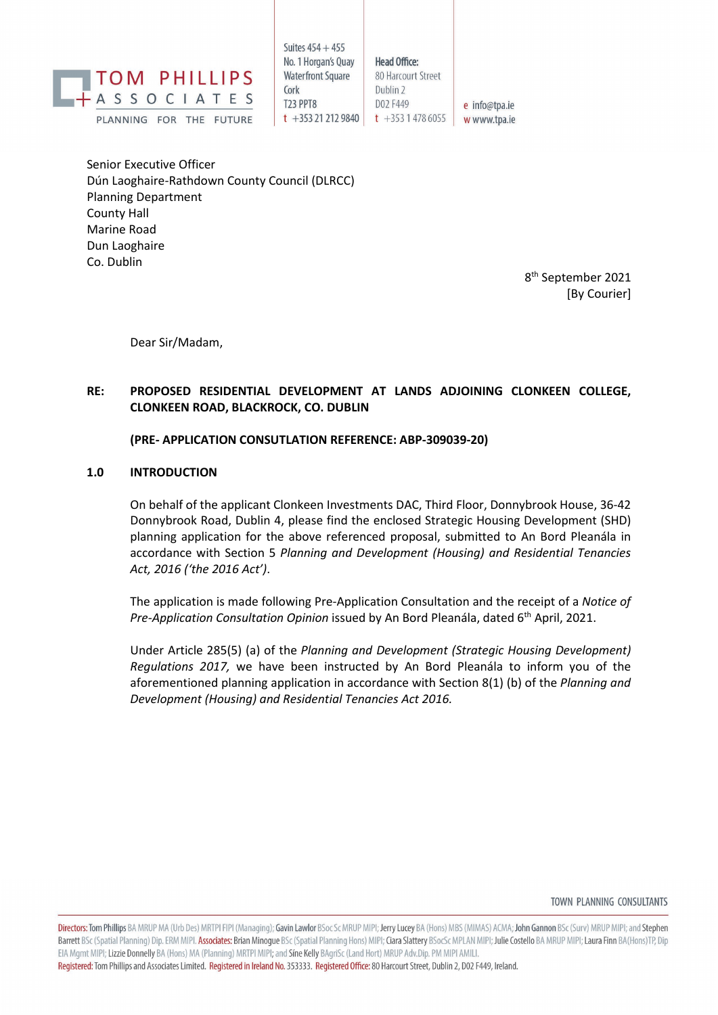

Suites  $454 + 455$ No. 1 Horgan's Ouav **Waterfront Square** Cork **T23 PPT8**  $t + 353212129840$ 

**Head Office:** 

Dublin<sub>2</sub>

D02 F449

80 Harcourt Street

e info@tpa.ie  $t + 35314786055$ w www.tpa.ie

Senior Executive Officer Dún Laoghaire-Rathdown County Council (DLRCC) Planning Department County Hall Marine Road Dun Laoghaire Co. Dublin

> 8 th September 2021 [By Courier]

Dear Sir/Madam,

# **RE: PROPOSED RESIDENTIAL DEVELOPMENT AT LANDS ADJOINING CLONKEEN COLLEGE, CLONKEEN ROAD, BLACKROCK, CO. DUBLIN**

## **(PRE- APPLICATION CONSUTLATION REFERENCE: ABP-309039-20)**

## **1.0 INTRODUCTION**

On behalf of the applicant Clonkeen Investments DAC, Third Floor, Donnybrook House, 36-42 Donnybrook Road, Dublin 4, please find the enclosed Strategic Housing Development (SHD) planning application for the above referenced proposal, submitted to An Bord Pleanála in accordance with Section 5 *Planning and Development (Housing) and Residential Tenancies Act, 2016 ('the 2016 Act')*.

The application is made following Pre-Application Consultation and the receipt of a *Notice of Pre-Application Consultation Opinion* issued by An Bord Pleanála, dated 6<sup>th</sup> April, 2021.

Under Article 285(5) (a) of the *Planning and Development (Strategic Housing Development) Regulations 2017,* we have been instructed by An Bord Pleanála to inform you of the aforementioned planning application in accordance with Section 8(1) (b) of the *Planning and Development (Housing) and Residential Tenancies Act 2016.*

TOWN PLANNING CONSULTANTS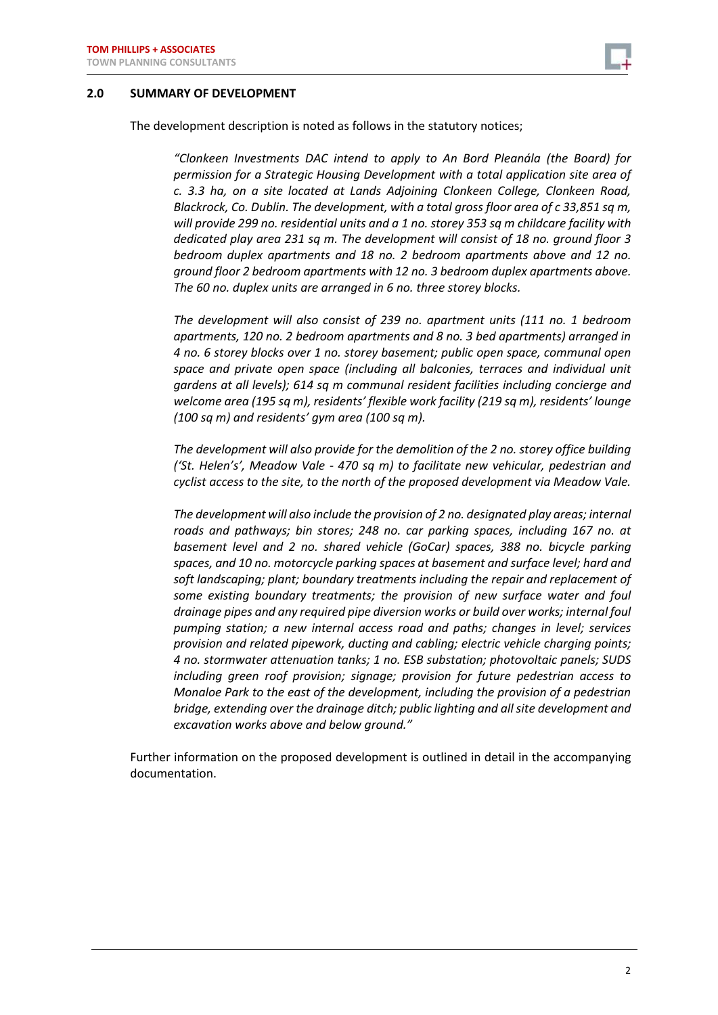

#### **2.0 SUMMARY OF DEVELOPMENT**

The development description is noted as follows in the statutory notices;

*"Clonkeen Investments DAC intend to apply to An Bord Pleanála (the Board) for permission for a Strategic Housing Development with a total application site area of c. 3.3 ha, on a site located at Lands Adjoining Clonkeen College, Clonkeen Road, Blackrock, Co. Dublin. The development, with a total gross floor area of c 33,851 sq m, will provide 299 no. residential units and a 1 no. storey 353 sq m childcare facility with dedicated play area 231 sq m. The development will consist of 18 no. ground floor 3 bedroom duplex apartments and 18 no. 2 bedroom apartments above and 12 no. ground floor 2 bedroom apartments with 12 no. 3 bedroom duplex apartments above. The 60 no. duplex units are arranged in 6 no. three storey blocks.* 

*The development will also consist of 239 no. apartment units (111 no. 1 bedroom apartments, 120 no. 2 bedroom apartments and 8 no. 3 bed apartments) arranged in 4 no. 6 storey blocks over 1 no. storey basement; public open space, communal open space and private open space (including all balconies, terraces and individual unit gardens at all levels); 614 sq m communal resident facilities including concierge and welcome area (195 sq m), residents' flexible work facility (219 sq m), residents' lounge (100 sq m) and residents' gym area (100 sq m).*

*The development will also provide for the demolition of the 2 no. storey office building ('St. Helen's', Meadow Vale - 470 sq m) to facilitate new vehicular, pedestrian and cyclist access to the site, to the north of the proposed development via Meadow Vale.*

*The development will also include the provision of 2 no. designated play areas; internal roads and pathways; bin stores; 248 no. car parking spaces, including 167 no. at basement level and 2 no. shared vehicle (GoCar) spaces, 388 no. bicycle parking spaces, and 10 no. motorcycle parking spaces at basement and surface level; hard and soft landscaping; plant; boundary treatments including the repair and replacement of some existing boundary treatments; the provision of new surface water and foul drainage pipes and any required pipe diversion works or build over works; internal foul pumping station; a new internal access road and paths; changes in level; services provision and related pipework, ducting and cabling; electric vehicle charging points; 4 no. stormwater attenuation tanks; 1 no. ESB substation; photovoltaic panels; SUDS including green roof provision; signage; provision for future pedestrian access to Monaloe Park to the east of the development, including the provision of a pedestrian bridge, extending over the drainage ditch; public lighting and all site development and excavation works above and below ground."*

Further information on the proposed development is outlined in detail in the accompanying documentation.